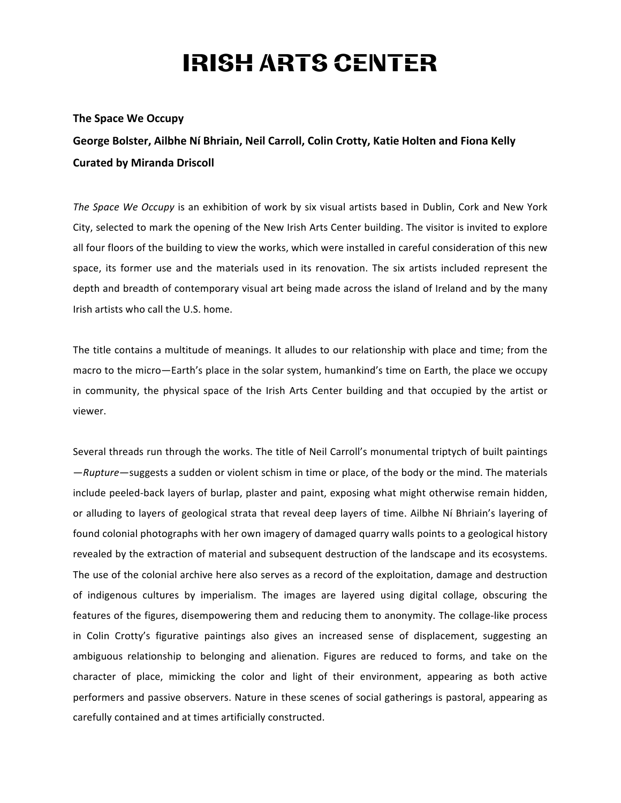## **IRISH ARTS CENTER**

## **The Space We Occupy**

George Bolster, Ailbhe Ní Bhriain, Neil Carroll, Colin Crotty, Katie Holten and Fiona Kelly **Curated by Miranda Driscoll**

*The Space We Occupy* is an exhibition of work by six visual artists based in Dublin, Cork and New York City, selected to mark the opening of the New Irish Arts Center building. The visitor is invited to explore all four floors of the building to view the works, which were installed in careful consideration of this new space, its former use and the materials used in its renovation. The six artists included represent the depth and breadth of contemporary visual art being made across the island of Ireland and by the many Irish artists who call the U.S. home.

The title contains a multitude of meanings. It alludes to our relationship with place and time; from the macro to the micro—Earth's place in the solar system, humankind's time on Earth, the place we occupy in community, the physical space of the Irish Arts Center building and that occupied by the artist or viewer. 

Several threads run through the works. The title of Neil Carroll's monumental triptych of built paintings -Rupture-suggests a sudden or violent schism in time or place, of the body or the mind. The materials include peeled-back layers of burlap, plaster and paint, exposing what might otherwise remain hidden, or alluding to layers of geological strata that reveal deep layers of time. Ailbhe Ní Bhriain's layering of found colonial photographs with her own imagery of damaged quarry walls points to a geological history revealed by the extraction of material and subsequent destruction of the landscape and its ecosystems. The use of the colonial archive here also serves as a record of the exploitation, damage and destruction of indigenous cultures by imperialism. The images are layered using digital collage, obscuring the features of the figures, disempowering them and reducing them to anonymity. The collage-like process in Colin Crotty's figurative paintings also gives an increased sense of displacement, suggesting an ambiguous relationship to belonging and alienation. Figures are reduced to forms, and take on the character of place, mimicking the color and light of their environment, appearing as both active performers and passive observers. Nature in these scenes of social gatherings is pastoral, appearing as carefully contained and at times artificially constructed.